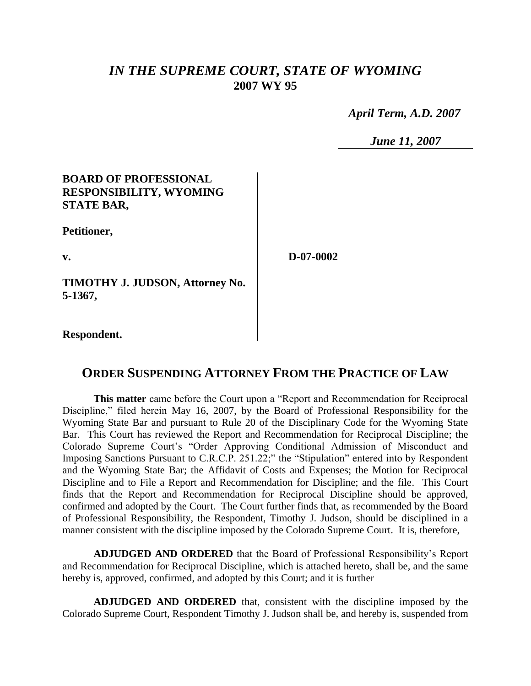# *IN THE SUPREME COURT, STATE OF WYOMING* **2007 WY 95**

 *April Term, A.D. 2007*

*June 11, 2007*

### **BOARD OF PROFESSIONAL RESPONSIBILITY, WYOMING STATE BAR,**

**Petitioner,**

**v.**

**D-07-0002**

**TIMOTHY J. JUDSON, Attorney No. 5-1367,**

**Respondent.**

# **ORDER SUSPENDING ATTORNEY FROM THE PRACTICE OF LAW**

**This matter** came before the Court upon a "Report and Recommendation for Reciprocal Discipline," filed herein May 16, 2007, by the Board of Professional Responsibility for the Wyoming State Bar and pursuant to Rule 20 of the Disciplinary Code for the Wyoming State Bar. This Court has reviewed the Report and Recommendation for Reciprocal Discipline; the Colorado Supreme Court's "Order Approving Conditional Admission of Misconduct and Imposing Sanctions Pursuant to C.R.C.P. 251.22;" the "Stipulation" entered into by Respondent and the Wyoming State Bar; the Affidavit of Costs and Expenses; the Motion for Reciprocal Discipline and to File a Report and Recommendation for Discipline; and the file. This Court finds that the Report and Recommendation for Reciprocal Discipline should be approved, confirmed and adopted by the Court. The Court further finds that, as recommended by the Board of Professional Responsibility, the Respondent, Timothy J. Judson, should be disciplined in a manner consistent with the discipline imposed by the Colorado Supreme Court. It is, therefore,

**ADJUDGED AND ORDERED** that the Board of Professional Responsibility's Report and Recommendation for Reciprocal Discipline, which is attached hereto, shall be, and the same hereby is, approved, confirmed, and adopted by this Court; and it is further

**ADJUDGED AND ORDERED** that, consistent with the discipline imposed by the Colorado Supreme Court, Respondent Timothy J. Judson shall be, and hereby is, suspended from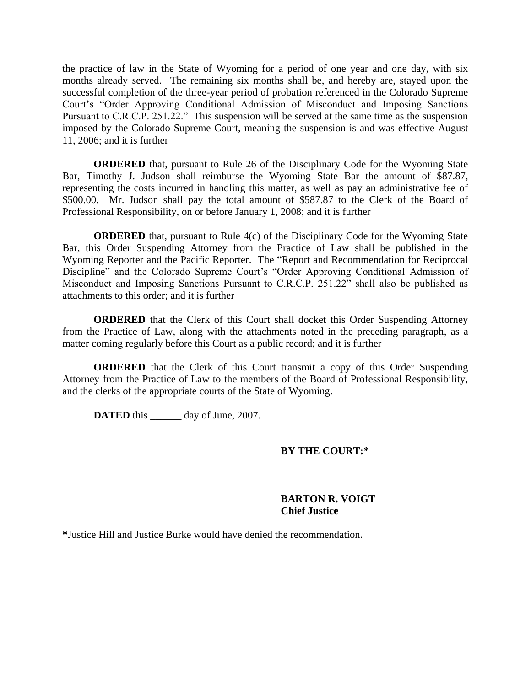the practice of law in the State of Wyoming for a period of one year and one day, with six months already served. The remaining six months shall be, and hereby are, stayed upon the successful completion of the three-year period of probation referenced in the Colorado Supreme Court's "Order Approving Conditional Admission of Misconduct and Imposing Sanctions Pursuant to C.R.C.P. 251.22." This suspension will be served at the same time as the suspension imposed by the Colorado Supreme Court, meaning the suspension is and was effective August 11, 2006; and it is further

**ORDERED** that, pursuant to Rule 26 of the Disciplinary Code for the Wyoming State Bar, Timothy J. Judson shall reimburse the Wyoming State Bar the amount of \$87.87, representing the costs incurred in handling this matter, as well as pay an administrative fee of \$500.00. Mr. Judson shall pay the total amount of \$587.87 to the Clerk of the Board of Professional Responsibility, on or before January 1, 2008; and it is further

**ORDERED** that, pursuant to Rule 4(c) of the Disciplinary Code for the Wyoming State Bar, this Order Suspending Attorney from the Practice of Law shall be published in the Wyoming Reporter and the Pacific Reporter. The "Report and Recommendation for Reciprocal Discipline" and the Colorado Supreme Court's "Order Approving Conditional Admission of Misconduct and Imposing Sanctions Pursuant to C.R.C.P. 251.22" shall also be published as attachments to this order; and it is further

**ORDERED** that the Clerk of this Court shall docket this Order Suspending Attorney from the Practice of Law, along with the attachments noted in the preceding paragraph, as a matter coming regularly before this Court as a public record; and it is further

**ORDERED** that the Clerk of this Court transmit a copy of this Order Suspending Attorney from the Practice of Law to the members of the Board of Professional Responsibility, and the clerks of the appropriate courts of the State of Wyoming.

**DATED** this day of June, 2007.

#### **BY THE COURT:\***

#### **BARTON R. VOIGT Chief Justice**

**\***Justice Hill and Justice Burke would have denied the recommendation.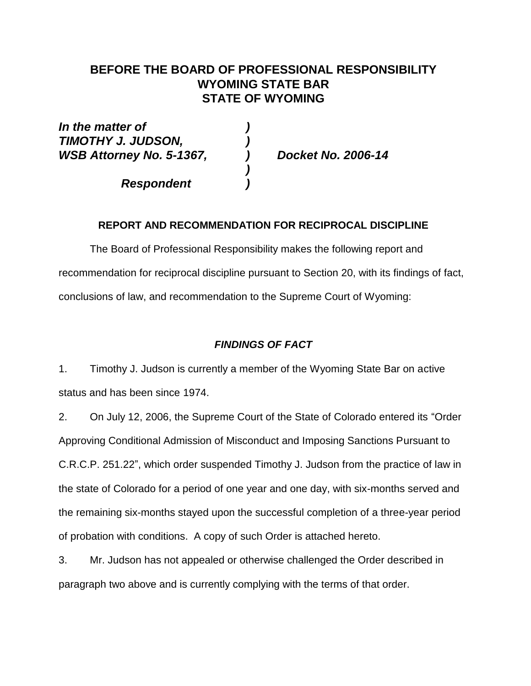## **BEFORE THE BOARD OF PROFESSIONAL RESPONSIBILITY WYOMING STATE BAR STATE OF WYOMING**

*In the matter of ) TIMOTHY J. JUDSON, ) WSB Attorney No. 5-1367, ) Docket No. 2006-14*

*Respondent )*

**REPORT AND RECOMMENDATION FOR RECIPROCAL DISCIPLINE**

*)*

The Board of Professional Responsibility makes the following report and recommendation for reciprocal discipline pursuant to Section 20, with its findings of fact, conclusions of law, and recommendation to the Supreme Court of Wyoming:

## *FINDINGS OF FACT*

1. Timothy J. Judson is currently a member of the Wyoming State Bar on active status and has been since 1974.

2. On July 12, 2006, the Supreme Court of the State of Colorado entered its "Order Approving Conditional Admission of Misconduct and Imposing Sanctions Pursuant to C.R.C.P. 251.22", which order suspended Timothy J. Judson from the practice of law in the state of Colorado for a period of one year and one day, with six-months served and the remaining six-months stayed upon the successful completion of a three-year period of probation with conditions. A copy of such Order is attached hereto.

3. Mr. Judson has not appealed or otherwise challenged the Order described in paragraph two above and is currently complying with the terms of that order.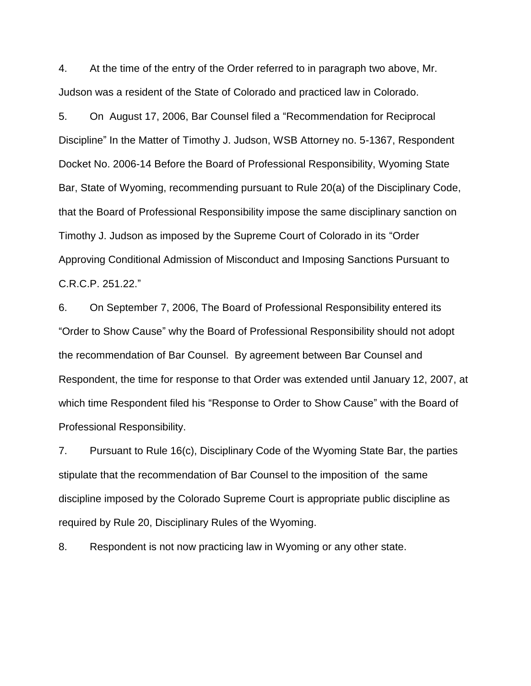4. At the time of the entry of the Order referred to in paragraph two above, Mr. Judson was a resident of the State of Colorado and practiced law in Colorado.

5. On August 17, 2006, Bar Counsel filed a "Recommendation for Reciprocal Discipline" In the Matter of Timothy J. Judson, WSB Attorney no. 5-1367, Respondent Docket No. 2006-14 Before the Board of Professional Responsibility, Wyoming State Bar, State of Wyoming, recommending pursuant to Rule 20(a) of the Disciplinary Code, that the Board of Professional Responsibility impose the same disciplinary sanction on Timothy J. Judson as imposed by the Supreme Court of Colorado in its "Order Approving Conditional Admission of Misconduct and Imposing Sanctions Pursuant to C.R.C.P. 251.22."

6. On September 7, 2006, The Board of Professional Responsibility entered its "Order to Show Cause" why the Board of Professional Responsibility should not adopt the recommendation of Bar Counsel. By agreement between Bar Counsel and Respondent, the time for response to that Order was extended until January 12, 2007, at which time Respondent filed his "Response to Order to Show Cause" with the Board of Professional Responsibility.

7. Pursuant to Rule 16(c), Disciplinary Code of the Wyoming State Bar, the parties stipulate that the recommendation of Bar Counsel to the imposition of the same discipline imposed by the Colorado Supreme Court is appropriate public discipline as required by Rule 20, Disciplinary Rules of the Wyoming.

8. Respondent is not now practicing law in Wyoming or any other state.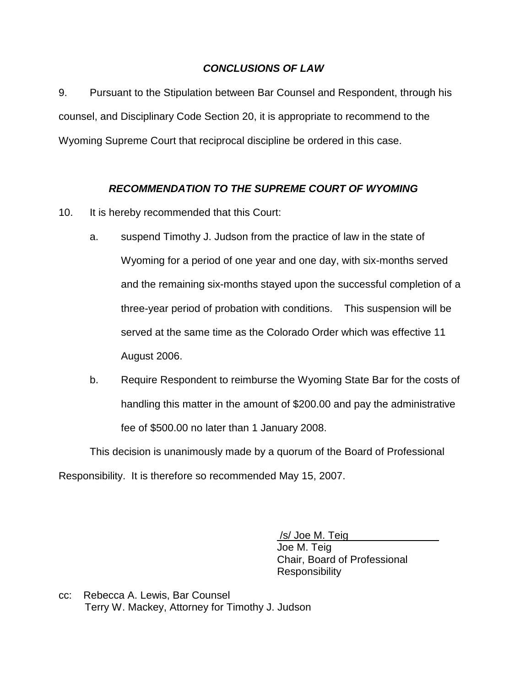### *CONCLUSIONS OF LAW*

9. Pursuant to the Stipulation between Bar Counsel and Respondent, through his counsel, and Disciplinary Code Section 20, it is appropriate to recommend to the Wyoming Supreme Court that reciprocal discipline be ordered in this case.

### *RECOMMENDATION TO THE SUPREME COURT OF WYOMING*

- 10. It is hereby recommended that this Court:
	- a. suspend Timothy J. Judson from the practice of law in the state of Wyoming for a period of one year and one day, with six-months served and the remaining six-months stayed upon the successful completion of a three-year period of probation with conditions. This suspension will be served at the same time as the Colorado Order which was effective 11 August 2006.
	- b. Require Respondent to reimburse the Wyoming State Bar for the costs of handling this matter in the amount of \$200.00 and pay the administrative fee of \$500.00 no later than 1 January 2008.

This decision is unanimously made by a quorum of the Board of Professional Responsibility. It is therefore so recommended May 15, 2007.

> /s/ Joe M. Teig Joe M. Teig Chair, Board of Professional **Responsibility**

cc: Rebecca A. Lewis, Bar Counsel Terry W. Mackey, Attorney for Timothy J. Judson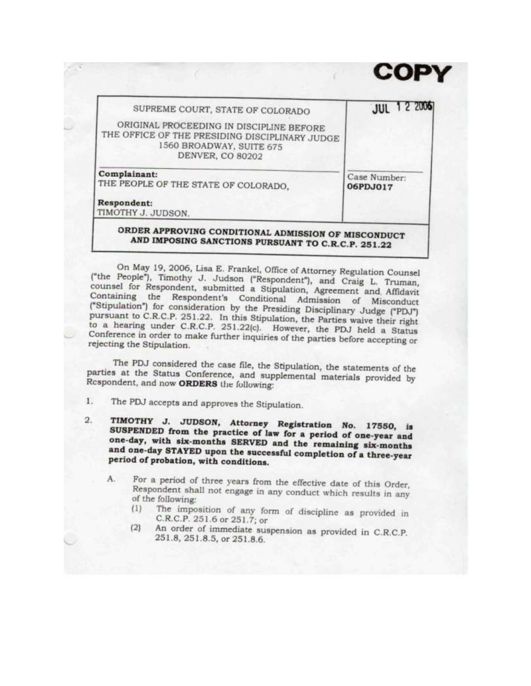| SUPREME COURT, STATE OF COLORADO                                                                                                           | <b>JUL 12 2006</b>       |
|--------------------------------------------------------------------------------------------------------------------------------------------|--------------------------|
| ORIGINAL PROCEEDING IN DISCIPLINE BEFORE<br>THE OFFICE OF THE PRESIDING DISCIPLINARY JUDGE<br>1560 BROADWAY, SUITE 675<br>DENVER, CO 80202 |                          |
| Complainant:<br>THE PEOPLE OF THE STATE OF COLORADO.                                                                                       | Case Number:<br>06PDJ017 |
| Respondent:<br>TIMOTHY J. JUDSON.                                                                                                          |                          |

On May 19, 2006, Lisa E. Frankel, Office of Attorney Regulation Counsel ("the People"), Timothy J. Judson ("Respondent"), and Craig L. Truman, counsel for Respondent, submitted a Stipulation, Agreement and Affidavit Containing the Respondent's Conditional Admission of Misconduct<br>("Stipulation") for consideration by the Presiding Disciplinary Judge ("PDJ") pursuant to C.R.C.P. 251.22. In this Stipulation, the Parties waive their right to a hearing under C.R.C.P. 251.22(c). However, the PDJ held a Status Conference in order to make further inquiries of the parties before accepting or rejecting the Stipulation.

The PDJ considered the case file, the Stipulation, the statements of the parties at the Status Conference, and supplemental materials provided by Respondent, and now ORDERS the following:

- The PDJ accepts and approves the Stipulation.  $1.$
- TIMOTHY J. JUDSON, Attorney Registration No. 17550, is  $2.$ SUSPENDED from the practice of law for a period of one-year and one-day, with six-months SERVED and the remaining six-months and one-day STAYED upon the successful completion of a three-year period of probation, with conditions.
	- For a period of three years from the effective date of this Order,  $A_{-}$ Respondent shall not engage in any conduct which results in any of the following:
		- The imposition of any form of discipline as provided in  $(1)$ C.R.C.P. 251.6 or 251.7; or
		- An order of immediate suspension as provided in C.R.C.P.  $(2)$ 251.8, 251.8.5, or 251.8.6.